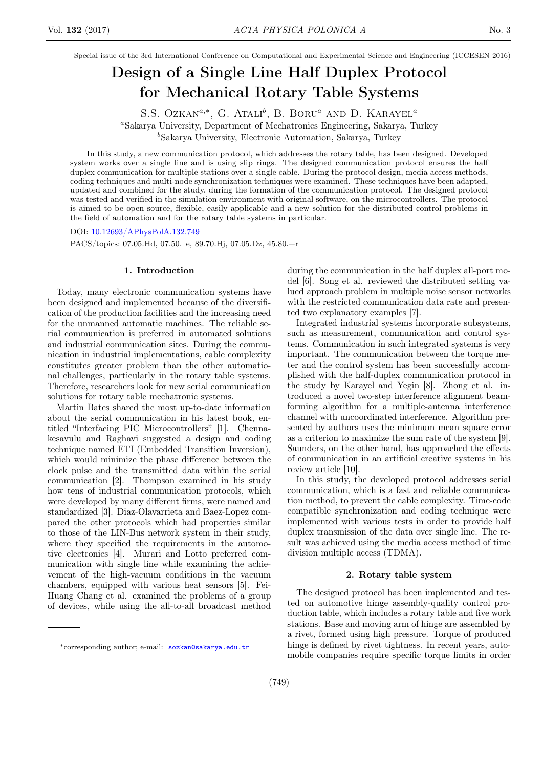Special issue of the 3rd International Conference on Computational and Experimental Science and Engineering (ICCESEN 2016)

# Design of a Single Line Half Duplex Protocol for Mechanical Rotary Table Systems

S.S. Ozkan<sup> $a,*$ </sup>, G. Atali<sup>b</sup>, B. Boru<sup>a</sup> and D. Karayel<sup>a</sup>

<sup>a</sup>Sakarya University, Department of Mechatronics Engineering, Sakarya, Turkey

<sup>b</sup>Sakarya University, Electronic Automation, Sakarya, Turkey

In this study, a new communication protocol, which addresses the rotary table, has been designed. Developed system works over a single line and is using slip rings. The designed communication protocol ensures the half duplex communication for multiple stations over a single cable. During the protocol design, media access methods, coding techniques and multi-node synchronization techniques were examined. These techniques have been adapted, updated and combined for the study, during the formation of the communication protocol. The designed protocol was tested and verified in the simulation environment with original software, on the microcontrollers. The protocol is aimed to be open source, flexible, easily applicable and a new solution for the distributed control problems in the field of automation and for the rotary table systems in particular.

DOI: [10.12693/APhysPolA.132.749](http://doi.org/10.12693/APhysPolA.132.749)

PACS/topics: 07.05.Hd, 07.50.–e, 89.70.Hj, 07.05.Dz, 45.80.+r

#### 1. Introduction

Today, many electronic communication systems have been designed and implemented because of the diversification of the production facilities and the increasing need for the unmanned automatic machines. The reliable serial communication is preferred in automated solutions and industrial communication sites. During the communication in industrial implementations, cable complexity constitutes greater problem than the other automational challenges, particularly in the rotary table systems. Therefore, researchers look for new serial communication solutions for rotary table mechatronic systems.

Martin Bates shared the most up-to-date information about the serial communication in his latest book, entitled "Interfacing PIC Microcontrollers" [1]. Chennakesavulu and Raghavi suggested a design and coding technique named ETI (Embedded Transition Inversion), which would minimize the phase difference between the clock pulse and the transmitted data within the serial communication [2]. Thompson examined in his study how tens of industrial communication protocols, which were developed by many different firms, were named and standardized [3]. Diaz-Olavarrieta and Baez-Lopez compared the other protocols which had properties similar to those of the LIN-Bus network system in their study, where they specified the requirements in the automotive electronics [4]. Murari and Lotto preferred communication with single line while examining the achievement of the high-vacuum conditions in the vacuum chambers, equipped with various heat sensors [5]. Fei-Huang Chang et al. examined the problems of a group of devices, while using the all-to-all broadcast method during the communication in the half duplex all-port model [6]. Song et al. reviewed the distributed setting valued approach problem in multiple noise sensor networks with the restricted communication data rate and presented two explanatory examples [7].

Integrated industrial systems incorporate subsystems, such as measurement, communication and control systems. Communication in such integrated systems is very important. The communication between the torque meter and the control system has been successfully accomplished with the half-duplex communication protocol in the study by Karayel and Yegin [8]. Zhong et al. introduced a novel two-step interference alignment beamforming algorithm for a multiple-antenna interference channel with uncoordinated interference. Algorithm presented by authors uses the minimum mean square error as a criterion to maximize the sum rate of the system [9]. Saunders, on the other hand, has approached the effects of communication in an artificial creative systems in his review article [10].

In this study, the developed protocol addresses serial communication, which is a fast and reliable communication method, to prevent the cable complexity. Time-code compatible synchronization and coding technique were implemented with various tests in order to provide half duplex transmission of the data over single line. The result was achieved using the media access method of time division multiple access (TDMA).

### 2. Rotary table system

The designed protocol has been implemented and tested on automotive hinge assembly-quality control production table, which includes a rotary table and five work stations. Base and moving arm of hinge are assembled by a rivet, formed using high pressure. Torque of produced hinge is defined by rivet tightness. In recent years, automobile companies require specific torque limits in order

<sup>∗</sup>corresponding author; e-mail: [sozkan@sakarya.edu.tr](mailto:sozkan@sakarya.edu.tr)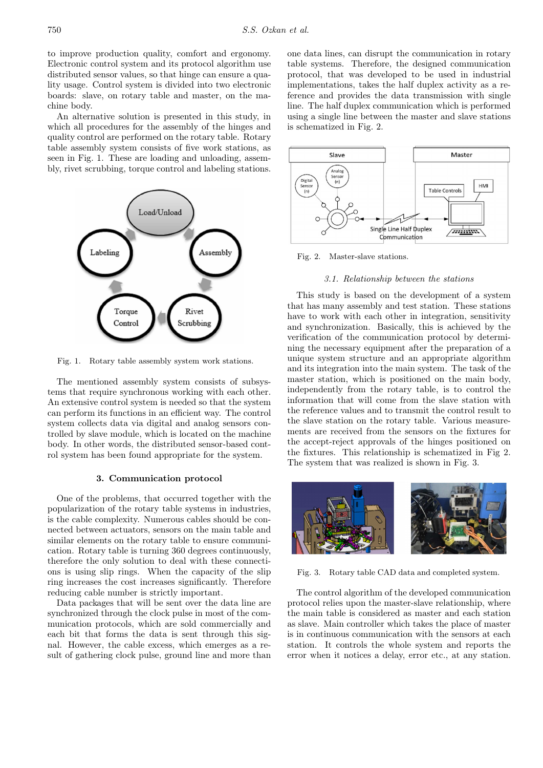to improve production quality, comfort and ergonomy. Electronic control system and its protocol algorithm use distributed sensor values, so that hinge can ensure a quality usage. Control system is divided into two electronic boards: slave, on rotary table and master, on the machine body.

An alternative solution is presented in this study, in which all procedures for the assembly of the hinges and quality control are performed on the rotary table. Rotary table assembly system consists of five work stations, as seen in Fig. 1. These are loading and unloading, assembly, rivet scrubbing, torque control and labeling stations.



Fig. 1. Rotary table assembly system work stations.

The mentioned assembly system consists of subsystems that require synchronous working with each other. An extensive control system is needed so that the system can perform its functions in an efficient way. The control system collects data via digital and analog sensors controlled by slave module, which is located on the machine body. In other words, the distributed sensor-based control system has been found appropriate for the system.

#### 3. Communication protocol

One of the problems, that occurred together with the popularization of the rotary table systems in industries, is the cable complexity. Numerous cables should be connected between actuators, sensors on the main table and similar elements on the rotary table to ensure communication. Rotary table is turning 360 degrees continuously, therefore the only solution to deal with these connections is using slip rings. When the capacity of the slip ring increases the cost increases significantly. Therefore reducing cable number is strictly important.

Data packages that will be sent over the data line are synchronized through the clock pulse in most of the communication protocols, which are sold commercially and each bit that forms the data is sent through this signal. However, the cable excess, which emerges as a result of gathering clock pulse, ground line and more than one data lines, can disrupt the communication in rotary table systems. Therefore, the designed communication protocol, that was developed to be used in industrial implementations, takes the half duplex activity as a reference and provides the data transmission with single line. The half duplex communication which is performed using a single line between the master and slave stations is schematized in Fig. 2.



Fig. 2. Master-slave stations.

#### 3.1. Relationship between the stations

This study is based on the development of a system that has many assembly and test station. These stations have to work with each other in integration, sensitivity and synchronization. Basically, this is achieved by the verification of the communication protocol by determining the necessary equipment after the preparation of a unique system structure and an appropriate algorithm and its integration into the main system. The task of the master station, which is positioned on the main body, independently from the rotary table, is to control the information that will come from the slave station with the reference values and to transmit the control result to the slave station on the rotary table. Various measurements are received from the sensors on the fixtures for the accept-reject approvals of the hinges positioned on the fixtures. This relationship is schematized in Fig 2. The system that was realized is shown in Fig. 3.



Fig. 3. Rotary table CAD data and completed system.

The control algorithm of the developed communication protocol relies upon the master-slave relationship, where the main table is considered as master and each station as slave. Main controller which takes the place of master is in continuous communication with the sensors at each station. It controls the whole system and reports the error when it notices a delay, error etc., at any station.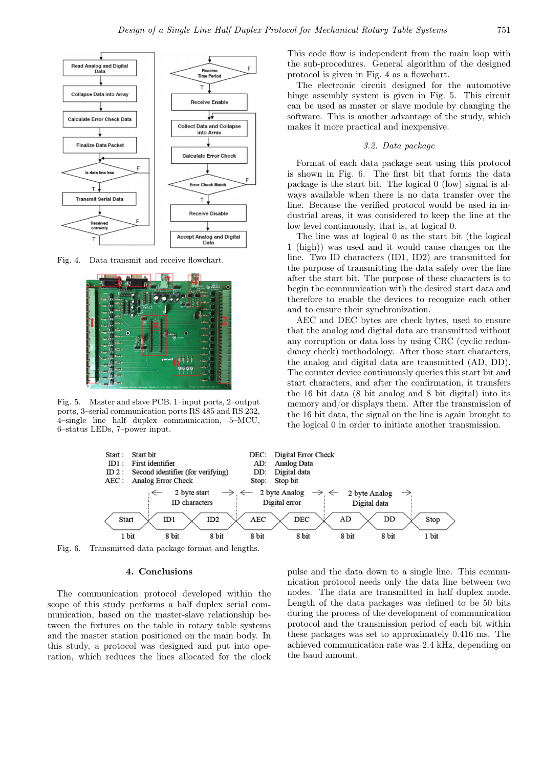

Fig. 4. Data transmit and receive flowchart.



Fig. 5. Master and slave PCB. 1–input ports, 2–output ports, 3–serial communication ports RS 485 and RS 232, 4–single line half duplex communication, 5–MCU, 6–status LEDs, 7–power input.

This code flow is independent from the main loop with the sub-procedures. General algorithm of the designed protocol is given in Fig. 4 as a flowchart.

The electronic circuit designed for the automotive hinge assembly system is given in Fig. 5. This circuit can be used as master or slave module by changing the software. This is another advantage of the study, which makes it more practical and inexpensive.

#### 3.2. Data package

Format of each data package sent using this protocol is shown in Fig. 6. The first bit that forms the data package is the start bit. The logical 0 (low) signal is always available when there is no data transfer over the line. Because the verified protocol would be used in industrial areas, it was considered to keep the line at the low level continuously, that is, at logical 0.

The line was at logical 0 as the start bit (the logical 1 (high)) was used and it would cause changes on the line. Two ID characters (ID1, ID2) are transmitted for the purpose of transmitting the data safely over the line after the start bit. The purpose of these characters is to begin the communication with the desired start data and therefore to enable the devices to recognize each other and to ensure their synchronization.

AEC and DEC bytes are check bytes, used to ensure that the analog and digital data are transmitted without any corruption or data loss by using CRC (cyclic redundancy check) methodology. After those start characters, the analog and digital data are transmitted (AD, DD). The counter device continuously queries this start bit and start characters, and after the confirmation, it transfers the 16 bit data (8 bit analog and 8 bit digital) into its memory and/or displays them. After the transmission of the 16 bit data, the signal on the line is again brought to the logical 0 in order to initiate another transmission.



Fig. 6. Transmitted data package format and lengths.

## 4. Conclusions

The communication protocol developed within the scope of this study performs a half duplex serial communication, based on the master-slave relationship between the fixtures on the table in rotary table systems and the master station positioned on the main body. In this study, a protocol was designed and put into operation, which reduces the lines allocated for the clock pulse and the data down to a single line. This communication protocol needs only the data line between two nodes. The data are transmitted in half duplex mode. Length of the data packages was defined to be 50 bits during the process of the development of communication protocol and the transmission period of each bit within these packages was set to approximately 0.416 ms. The achieved communication rate was 2.4 kHz, depending on the baud amount.